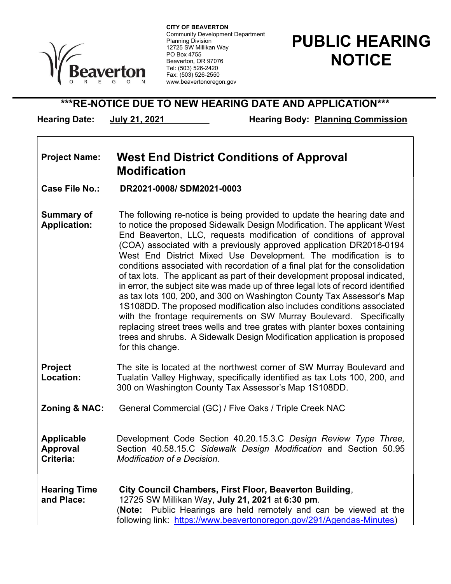

 Community Development Department CITY OF BEAVERTON Planning Division 12725 SW Millikan Way PO Box 4755 Beaverton, OR 97076 Tel: (503) 526-2420 Fax: (503) 526-2550 www.beavertonoregon.gov

## PUBLIC HEARING **NOTICE**

\*\*\*RE-NOTICE DUE TO NEW HEARING DATE AND APPLICATION\*\*\*

Hearing Date: July 21, 2021 Hearing Body: Planning Commission

## Project Name: West End District Conditions of Approval Modification

Case File No.: DR2021-0008/ SDM2021-0003

- Summary of Application: The following re-notice is being provided to update the hearing date and to notice the proposed Sidewalk Design Modification. The applicant West End Beaverton, LLC, requests modification of conditions of approval (COA) associated with a previously approved application DR2018-0194 West End District Mixed Use Development. The modification is to conditions associated with recordation of a final plat for the consolidation of tax lots. The applicant as part of their development proposal indicated, in error, the subject site was made up of three legal lots of record identified as tax lots 100, 200, and 300 on Washington County Tax Assessor's Map 1S108DD. The proposed modification also includes conditions associated with the frontage requirements on SW Murray Boulevard. Specifically replacing street trees wells and tree grates with planter boxes containing trees and shrubs. A Sidewalk Design Modification application is proposed for this change.
- Project Location: The site is located at the northwest corner of SW Murray Boulevard and Tualatin Valley Highway, specifically identified as tax Lots 100, 200, and 300 on Washington County Tax Assessor's Map 1S108DD.
- **Zoning & NAC:** General Commercial (GC) / Five Oaks / Triple Creek NAC
- Applicable Approval Criteria: Development Code Section 40.20.15.3.C Design Review Type Three, Section 40.58.15.C Sidewalk Design Modification and Section 50.95 Modification of a Decision.
- Hearing Time and Place: City Council Chambers, First Floor, Beaverton Building, 12725 SW Millikan Way, July 21, 2021 at 6:30 pm. (Note: Public Hearings are held remotely and can be viewed at the following link: https://www.beavertonoregon.gov/291/Agendas-Minutes)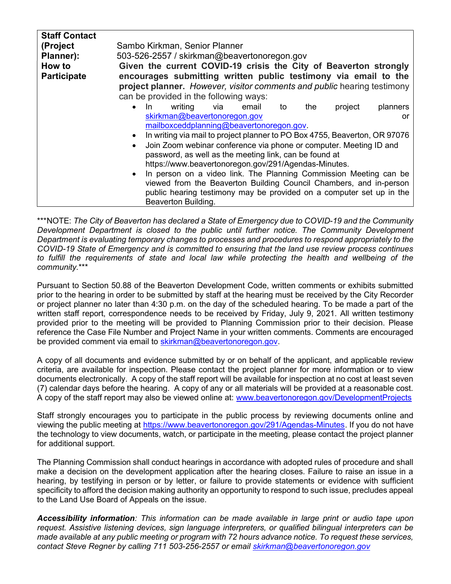| <b>Staff Contact</b><br>(Project | Sambo Kirkman, Senior Planner                                              |
|----------------------------------|----------------------------------------------------------------------------|
|                                  |                                                                            |
| Planner):                        | 503-526-2557 / skirkman@beavertonoregon.gov                                |
| How to                           | Given the current COVID-19 crisis the City of Beaverton strongly           |
| <b>Participate</b>               | encourages submitting written public testimony via email to the            |
|                                  | project planner. However, visitor comments and public hearing testimony    |
|                                  | can be provided in the following ways:                                     |
|                                  | $\bullet$                                                                  |
|                                  | writing<br>project<br>planners<br>-ln<br>via<br>email<br>the<br>to         |
|                                  | skirkman@beavertonoregon.gov<br><u>or</u>                                  |
|                                  | mailboxceddplanning@beavertonoregon.gov.                                   |
|                                  | In writing via mail to project planner to PO Box 4755, Beaverton, OR 97076 |
|                                  | Join Zoom webinar conference via phone or computer. Meeting ID and         |
|                                  | password, as well as the meeting link, can be found at                     |
|                                  | https://www.beavertonoregon.gov/291/Agendas-Minutes.                       |
|                                  |                                                                            |
|                                  | In person on a video link. The Planning Commission Meeting can be          |
|                                  | viewed from the Beaverton Building Council Chambers, and in-person         |
|                                  | public hearing testimony may be provided on a computer set up in the       |
|                                  |                                                                            |
|                                  | Beaverton Building.                                                        |

\*\*\*NOTE: The City of Beaverton has declared a State of Emergency due to COVID-19 and the Community Development Department is closed to the public until further notice. The Community Development Department is evaluating temporary changes to processes and procedures to respond appropriately to the COVID-19 State of Emergency and is committed to ensuring that the land use review process continues to fulfill the requirements of state and local law while protecting the health and wellbeing of the community.\*\*\*

Pursuant to Section 50.88 of the Beaverton Development Code, written comments or exhibits submitted prior to the hearing in order to be submitted by staff at the hearing must be received by the City Recorder or project planner no later than 4:30 p.m. on the day of the scheduled hearing. To be made a part of the written staff report, correspondence needs to be received by Friday, July 9, 2021. All written testimony provided prior to the meeting will be provided to Planning Commission prior to their decision. Please reference the Case File Number and Project Name in your written comments. Comments are encouraged be provided comment via email to skirkman@beavertonoregon.gov.

A copy of all documents and evidence submitted by or on behalf of the applicant, and applicable review criteria, are available for inspection. Please contact the project planner for more information or to view documents electronically. A copy of the staff report will be available for inspection at no cost at least seven (7) calendar days before the hearing. A copy of any or all materials will be provided at a reasonable cost. A copy of the staff report may also be viewed online at: www.beavertonoregon.gov/DevelopmentProjects

Staff strongly encourages you to participate in the public process by reviewing documents online and viewing the public meeting at https://www.beavertonoregon.gov/291/Agendas-Minutes. If you do not have the technology to view documents, watch, or participate in the meeting, please contact the project planner for additional support.

The Planning Commission shall conduct hearings in accordance with adopted rules of procedure and shall make a decision on the development application after the hearing closes. Failure to raise an issue in a hearing, by testifying in person or by letter, or failure to provide statements or evidence with sufficient specificity to afford the decision making authority an opportunity to respond to such issue, precludes appeal to the Land Use Board of Appeals on the issue.

Accessibility information: This information can be made available in large print or audio tape upon request. Assistive listening devices, sign language interpreters, or qualified bilingual interpreters can be made available at any public meeting or program with 72 hours advance notice. To request these services, contact Steve Regner by calling 711 503-256-2557 or email skirkman@beavertonoregon.gov